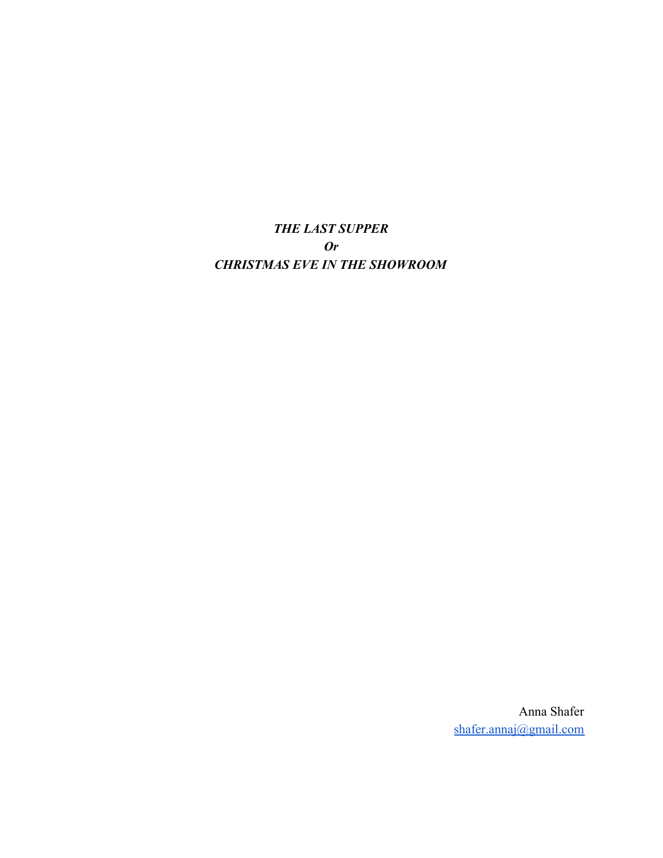*THE LAST SUPPER Or CHRISTMAS EVE IN THE SHOWROOM*

> Anna Shafer [shafer.annaj@gmail.com](mailto:shafer.annaj@gmail.com)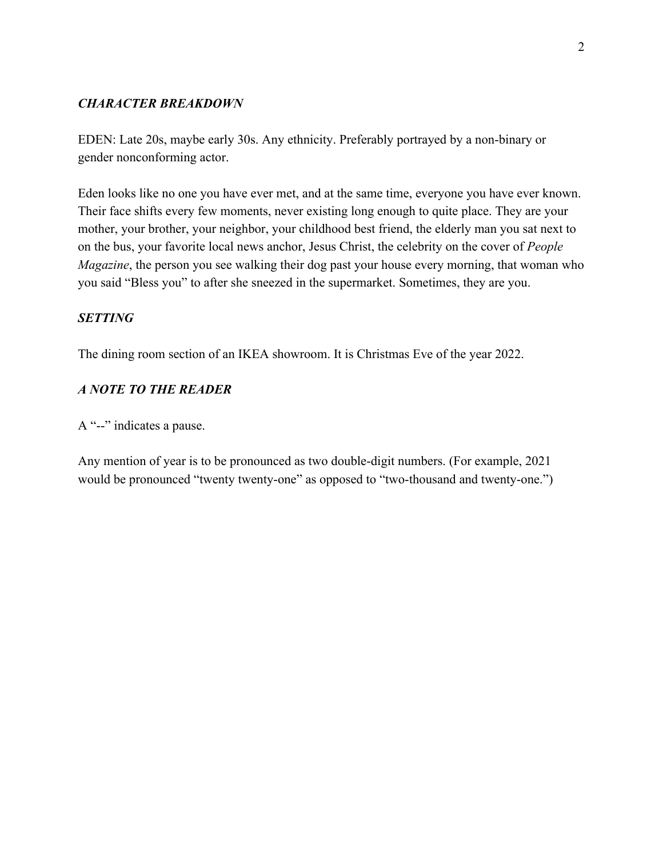# *CHARACTER BREAKDOWN*

EDEN: Late 20s, maybe early 30s. Any ethnicity. Preferably portrayed by a non-binary or gender nonconforming actor.

Eden looks like no one you have ever met, and at the same time, everyone you have ever known. Their face shifts every few moments, never existing long enough to quite place. They are your mother, your brother, your neighbor, your childhood best friend, the elderly man you sat next to on the bus, your favorite local news anchor, Jesus Christ, the celebrity on the cover of *People Magazine*, the person you see walking their dog past your house every morning, that woman who you said "Bless you" to after she sneezed in the supermarket. Sometimes, they are you.

# *SETTING*

The dining room section of an IKEA showroom. It is Christmas Eve of the year 2022.

# *A NOTE TO THE READER*

A "--" indicates a pause.

Any mention of year is to be pronounced as two double-digit numbers. (For example, 2021 would be pronounced "twenty twenty-one" as opposed to "two-thousand and twenty-one.")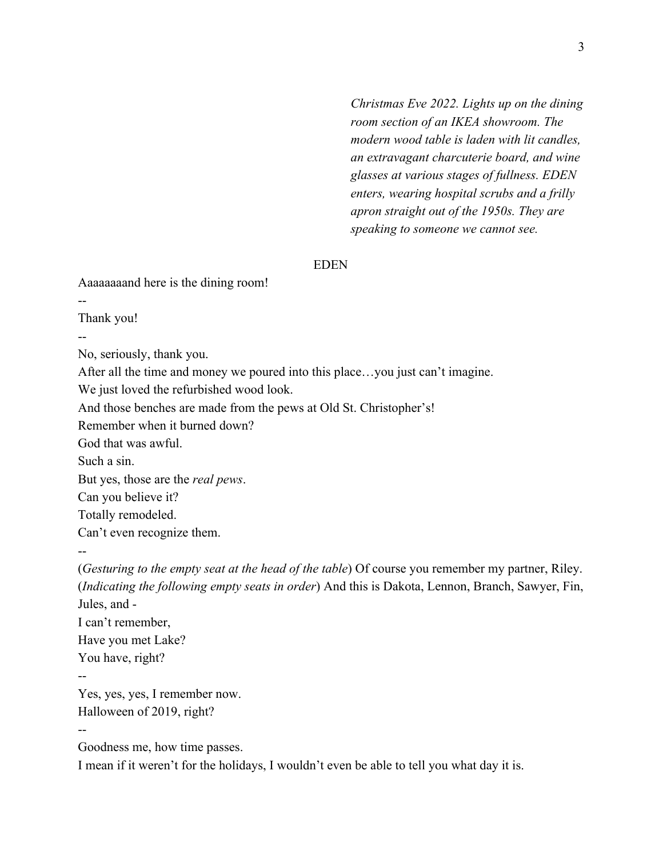*Christmas Eve 2022. Lights up on the dining room section of an IKEA showroom. The modern wood table is laden with lit candles, an extravagant charcuterie board, and wine glasses at various stages of fullness. EDEN enters, wearing hospital scrubs and a frilly apron straight out of the 1950s. They are speaking to someone we cannot see.*

#### EDEN

Aaaaaaaand here is the dining room!

Thank you!

--

--

No, seriously, thank you.

After all the time and money we poured into this place…you just can't imagine.

We just loved the refurbished wood look.

And those benches are made from the pews at Old St. Christopher's!

Remember when it burned down?

God that was awful.

Such a sin.

But yes, those are the *real pews*.

Can you believe it?

Totally remodeled.

Can't even recognize them.

--

(*Gesturing to the empty seat at the head of the table*) Of course you remember my partner, Riley. (*Indicating the following empty seats in order*) And this is Dakota, Lennon, Branch, Sawyer, Fin, Jules, and - I can't remember, Have you met Lake? You have, right? -- Yes, yes, yes, I remember now.

Halloween of 2019, right?

--

Goodness me, how time passes.

I mean if it weren't for the holidays, I wouldn't even be able to tell you what day it is.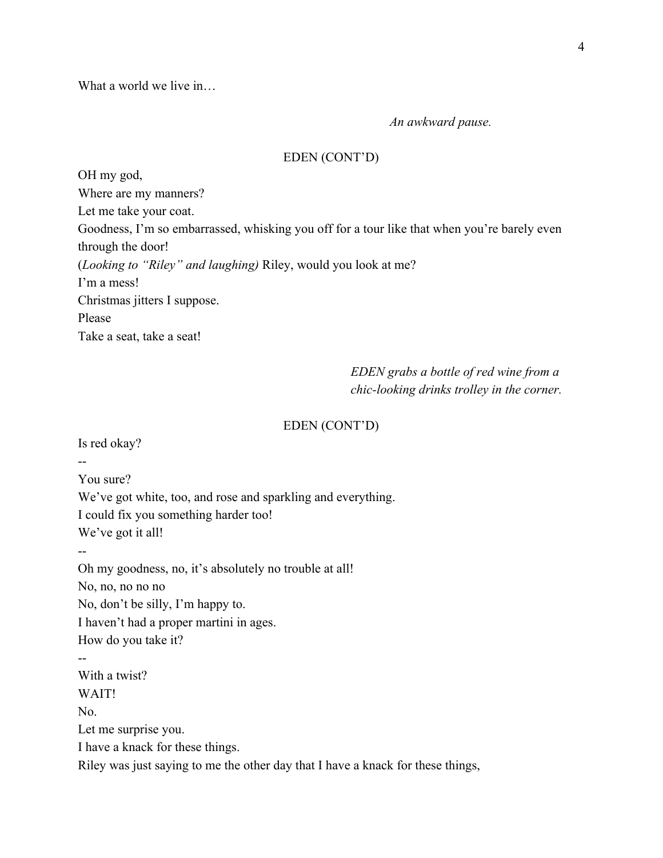What a world we live in

*An awkward pause.*

### EDEN (CONT'D)

OH my god, Where are my manners? Let me take your coat. Goodness, I'm so embarrassed, whisking you off for a tour like that when you're barely even through the door! (*Looking to "Riley" and laughing)* Riley, would you look at me? I'm a mess! Christmas jitters I suppose. Please Take a seat, take a seat!

> *EDEN grabs a bottle of red wine from a chic-looking drinks trolley in the corner.*

#### EDEN (CONT'D)

Is red okay?

You sure?

We've got white, too, and rose and sparkling and everything. I could fix you something harder too! We've got it all!

--

--

Oh my goodness, no, it's absolutely no trouble at all! No, no, no no no No, don't be silly, I'm happy to. I haven't had a proper martini in ages. How do you take it? -- With a twist? WAIT!

No. Let me surprise you. I have a knack for these things. Riley was just saying to me the other day that I have a knack for these things,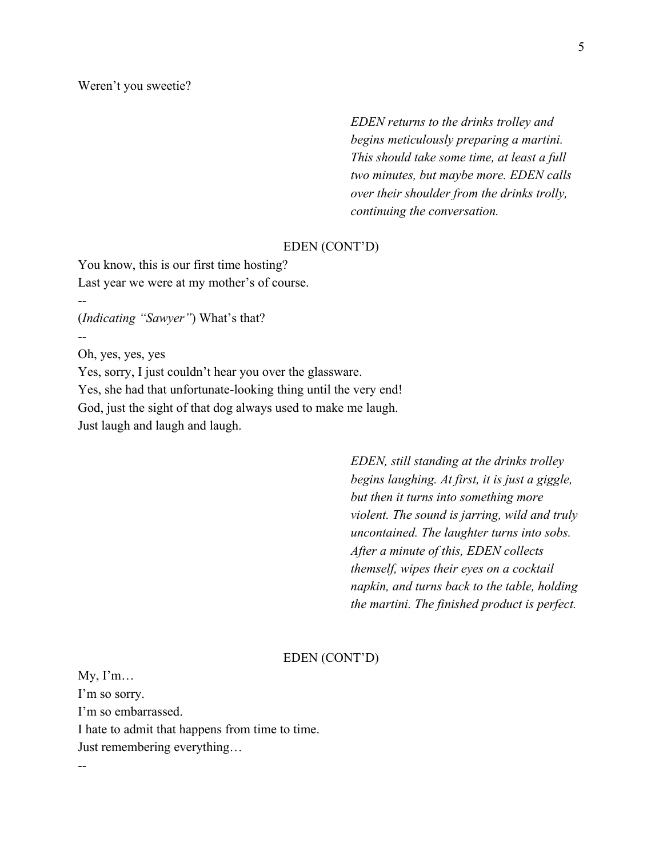*EDEN returns to the drinks trolley and begins meticulously preparing a martini. This should take some time, at least a full two minutes, but maybe more. EDEN calls over their shoulder from the drinks trolly, continuing the conversation.*

### EDEN (CONT'D)

You know, this is our first time hosting? Last year we were at my mother's of course.

(*Indicating "Sawyer"*) What's that?

Oh, yes, yes, yes

--

--

--

Yes, sorry, I just couldn't hear you over the glassware. Yes, she had that unfortunate-looking thing until the very end! God, just the sight of that dog always used to make me laugh. Just laugh and laugh and laugh.

> *EDEN, still standing at the drinks trolley begins laughing. At first, it is just a giggle, but then it turns into something more violent. The sound is jarring, wild and truly uncontained. The laughter turns into sobs. After a minute of this, EDEN collects themself, wipes their eyes on a cocktail napkin, and turns back to the table, holding the martini. The finished product is perfect.*

### EDEN (CONT'D)

 $My, I'm...$ I'm so sorry. I'm so embarrassed. I hate to admit that happens from time to time. Just remembering everything…

5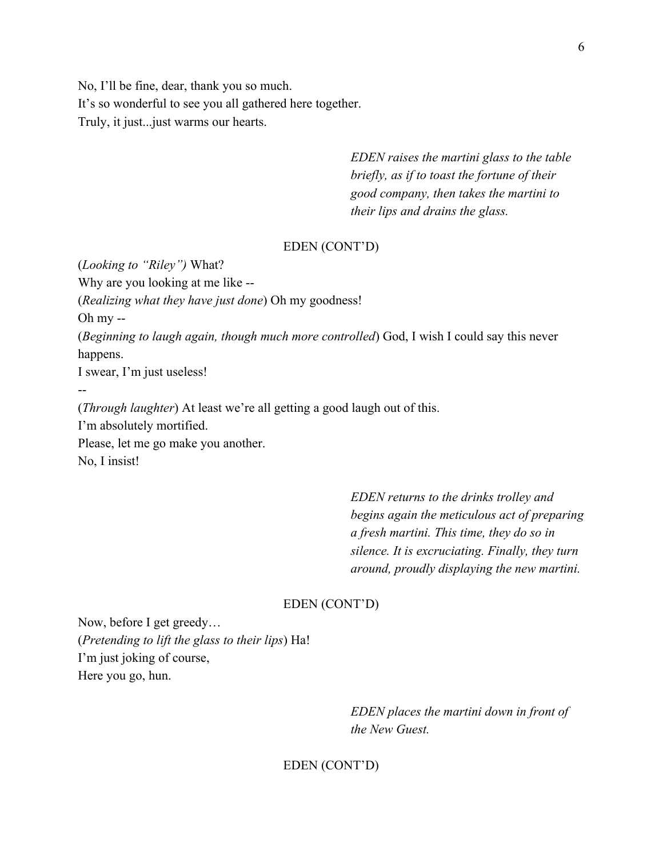No, I'll be fine, dear, thank you so much. It's so wonderful to see you all gathered here together. Truly, it just...just warms our hearts.

> *EDEN raises the martini glass to the table briefly, as if to toast the fortune of their good company, then takes the martini to their lips and drains the glass.*

# EDEN (CONT'D)

(*Looking to "Riley")* What? Why are you looking at me like -- (*Realizing what they have just done*) Oh my goodness! Oh my -- (*Beginning to laugh again, though much more controlled*) God, I wish I could say this never happens. I swear, I'm just useless! --

(*Through laughter*) At least we're all getting a good laugh out of this. I'm absolutely mortified. Please, let me go make you another. No, I insist!

> *EDEN returns to the drinks trolley and begins again the meticulous act of preparing a fresh martini. This time, they do so in silence. It is excruciating. Finally, they turn around, proudly displaying the new martini.*

#### EDEN (CONT'D)

Now, before I get greedy… (*Pretending to lift the glass to their lips*) Ha! I'm just joking of course, Here you go, hun.

> *EDEN places the martini down in front of the New Guest.*

### EDEN (CONT'D)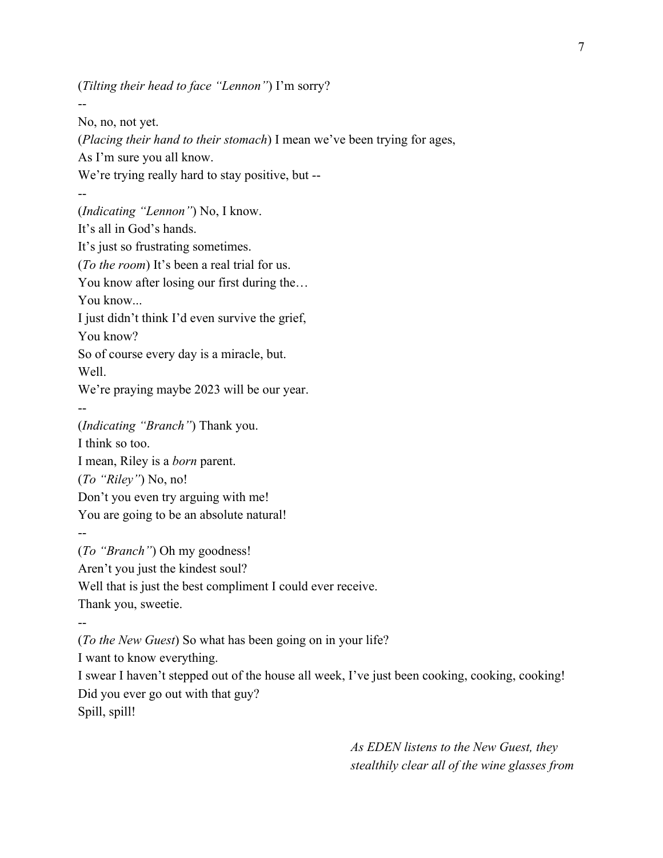(*Tilting their head to face "Lennon"*) I'm sorry?

-- No, no, not yet. (*Placing their hand to their stomach*) I mean we've been trying for ages, As I'm sure you all know. We're trying really hard to stay positive, but ---- (*Indicating "Lennon"*) No, I know. It's all in God's hands. It's just so frustrating sometimes. (*To the room*) It's been a real trial for us. You know after losing our first during the… You know... I just didn't think I'd even survive the grief, You know? So of course every day is a miracle, but. Well. We're praying maybe 2023 will be our year. -- (*Indicating "Branch"*) Thank you. I think so too. I mean, Riley is a *born* parent. (*To "Riley"*) No, no! Don't you even try arguing with me! You are going to be an absolute natural! -- (*To "Branch"*) Oh my goodness! Aren't you just the kindest soul? Well that is just the best compliment I could ever receive. Thank you, sweetie. -- (*To the New Guest*) So what has been going on in your life? I want to know everything. I swear I haven't stepped out of the house all week, I've just been cooking, cooking, cooking! Did you ever go out with that guy?

Spill, spill!

*As EDEN listens to the New Guest, they stealthily clear all of the wine glasses from*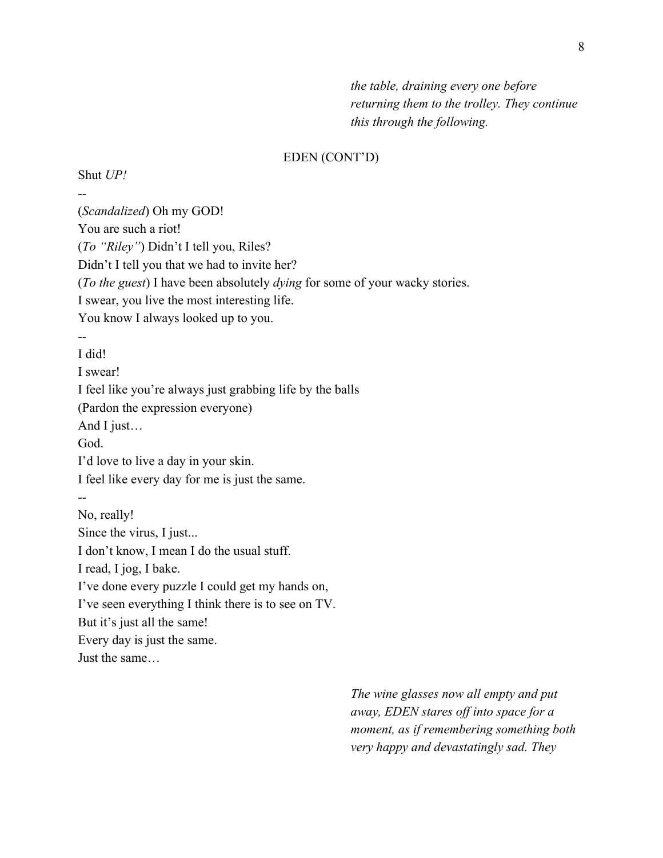*the table, draining every one before returning them to the trolley. They continue this through the following.*

## EDEN (CONT'D)

 $-$ (*Scandalized*) Oh my GOD! You are such a riot! (*To "Riley"*) Didn't I tell you, Riles? Didn't I tell you that we had to invite her? (*To the guest*) I have been absolutely *dying* for some of your wacky stories. I swear, you live the most interesting life. You know I always looked up to you. -- I did! I swear! I feel like you're always just grabbing life by the balls (Pardon the expression everyone) And I just… God. I'd love to live a day in your skin. I feel like every day for me is just the same. -- No, really! Since the virus, I just... I don't know, I mean I do the usual stuff. I read, I jog, I bake. I've done every puzzle I could get my hands on, I've seen everything I think there is to see on TV. But it's just all the same! Every day is just the same. Just the same…

Shut *UP!*

*The wine glasses now all empty and put away, EDEN stares off into space for a moment, as if remembering something both very happy and devastatingly sad. They*